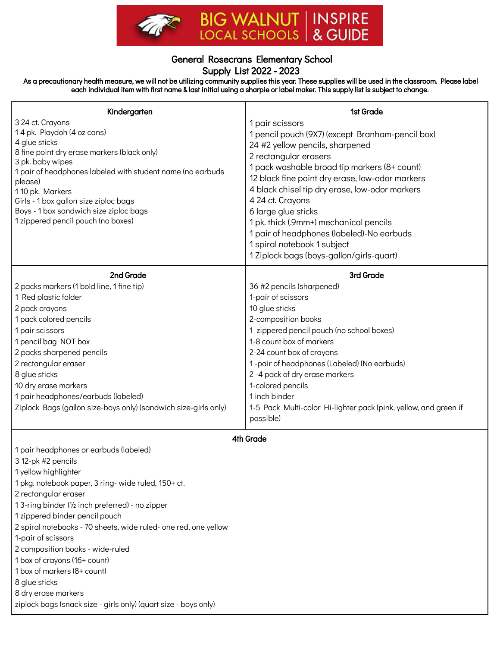

## General Rosecrans Elementary School Supply List 2022 - 2023

As a precautionary health measure, we will not be utilizing community supplies this year. These supplies will be used in the classroom. Please label each individual item with first name & last initial using a sharpie or label maker. This supply list is subject to change.

| Kindergarten                                                                   | 1st Grade                                                        |
|--------------------------------------------------------------------------------|------------------------------------------------------------------|
| 3 24 ct. Crayons                                                               | 1 pair scissors                                                  |
| 14 pk. Playdoh (4 oz cans)                                                     | 1 pencil pouch (9X7) (except Branham-pencil box)                 |
| 4 glue sticks                                                                  | 24 #2 yellow pencils, sharpened                                  |
| 8 fine point dry erase markers (black only)                                    | 2 rectangular erasers                                            |
| 3 pk. baby wipes<br>1 pair of headphones labeled with student name (no earbuds | 1 pack washable broad tip markers (8+ count)                     |
| please)                                                                        | 12 black fine point dry erase, low-odor markers                  |
| 110 pk. Markers                                                                | 4 black chisel tip dry erase, low-odor markers                   |
| Girls - 1 box gallon size ziploc bags                                          | 4 24 ct. Crayons                                                 |
| Boys - 1 box sandwich size ziploc bags                                         | 6 large glue sticks                                              |
| 1 zippered pencil pouch (no boxes)                                             | 1 pk. thick (.9mm+) mechanical pencils                           |
|                                                                                | 1 pair of headphones (labeled)-No earbuds                        |
|                                                                                | 1 spiral notebook 1 subject                                      |
|                                                                                | 1 Ziplock bags (boys-gallon/girls-quart)                         |
|                                                                                |                                                                  |
| 2nd Grade                                                                      | 3rd Grade                                                        |
| 2 packs markers (1 bold line, 1 fine tip)                                      | 36 #2 pencils (sharpened)                                        |
| 1 Red plastic folder                                                           | 1-pair of scissors                                               |
| 2 pack crayons                                                                 | 10 glue sticks                                                   |
| 1 pack colored pencils                                                         | 2-composition books                                              |
| 1 pair scissors                                                                | 1 zippered pencil pouch (no school boxes)                        |
| 1 pencil bag NOT box                                                           | 1-8 count box of markers                                         |
| 2 packs sharpened pencils                                                      | 2-24 count box of crayons                                        |
| 2 rectangular eraser                                                           | 1-pair of headphones (Labeled) (No earbuds)                      |
| 8 glue sticks                                                                  | 2 -4 pack of dry erase markers                                   |
| 10 dry erase markers                                                           | 1-colored pencils                                                |
| 1 pair headphones/earbuds (labeled)                                            | 1 inch binder                                                    |
| Ziplock Bags (gallon size-boys only) (sandwich size-girls only)                | 1-5 Pack Multi-color Hi-lighter pack (pink, yellow, and green if |
|                                                                                | possible)                                                        |
| 4th Grade                                                                      |                                                                  |
| 1 pair headphones or earbuds (labeled)                                         |                                                                  |
| 3 12-pk #2 pencils                                                             |                                                                  |
| 1 yellow highlighter                                                           |                                                                  |
| 1 pkg. notebook paper, 3 ring- wide ruled, 150+ ct.                            |                                                                  |
| 2 rectangular eraser                                                           |                                                                  |
| 13-ring binder (1/2 inch preferred) - no zipper                                |                                                                  |
| 1 zippered binder pencil pouch                                                 |                                                                  |
| 2 spiral notebooks - 70 sheets, wide ruled- one red, one yellow                |                                                                  |
| 1-pair of scissors                                                             |                                                                  |
| 2 composition books - wide-ruled                                               |                                                                  |
| 1 box of crayons (16+ count)                                                   |                                                                  |
| 1 box of markers (8+ count)                                                    |                                                                  |
| 8 glue sticks                                                                  |                                                                  |
| 8 dry erase markers                                                            |                                                                  |
| ziplock bags (snack size - girls only) (quart size - boys only)                |                                                                  |